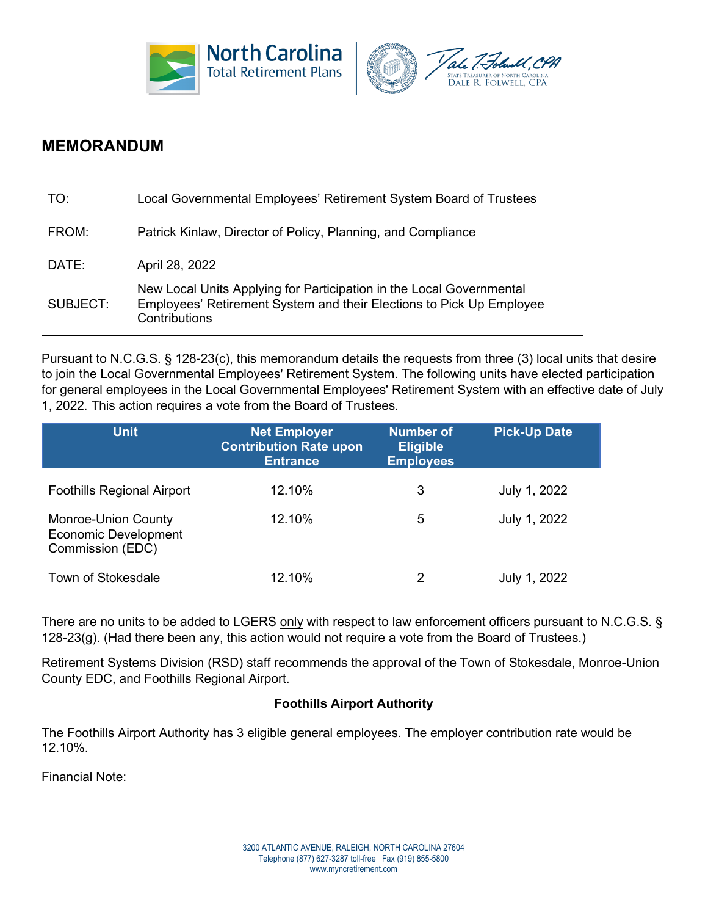



# **MEMORANDUM**

| TO:      | Local Governmental Employees' Retirement System Board of Trustees                                                                                             |
|----------|---------------------------------------------------------------------------------------------------------------------------------------------------------------|
| FROM:    | Patrick Kinlaw, Director of Policy, Planning, and Compliance                                                                                                  |
| DATE:    | April 28, 2022                                                                                                                                                |
| SUBJECT: | New Local Units Applying for Participation in the Local Governmental<br>Employees' Retirement System and their Elections to Pick Up Employee<br>Contributions |

Pursuant to N.C.G.S. § 128-23(c), this memorandum details the requests from three (3) local units that desire to join the Local Governmental Employees' Retirement System. The following units have elected participation for general employees in the Local Governmental Employees' Retirement System with an effective date of July 1, 2022. This action requires a vote from the Board of Trustees.

| <b>Unit</b>                                                                   | <b>Net Employer</b><br><b>Contribution Rate upon</b><br><b>Entrance</b> | <b>Number of</b><br><b>Eligible</b><br><b>Employees</b> | <b>Pick-Up Date</b> |
|-------------------------------------------------------------------------------|-------------------------------------------------------------------------|---------------------------------------------------------|---------------------|
| <b>Foothills Regional Airport</b>                                             | 12.10%                                                                  | 3                                                       | July 1, 2022        |
| <b>Monroe-Union County</b><br><b>Economic Development</b><br>Commission (EDC) | 12.10%                                                                  | 5                                                       | July 1, 2022        |
| <b>Town of Stokesdale</b>                                                     | 12.10%                                                                  | 2                                                       | July 1, 2022        |

There are no units to be added to LGERS only with respect to law enforcement officers pursuant to N.C.G.S. § 128-23(g). (Had there been any, this action would not require a vote from the Board of Trustees.)

Retirement Systems Division (RSD) staff recommends the approval of the Town of Stokesdale, Monroe-Union County EDC, and Foothills Regional Airport.

# **Foothills Airport Authority**

The Foothills Airport Authority has 3 eligible general employees. The employer contribution rate would be 12.10%.

Financial Note: